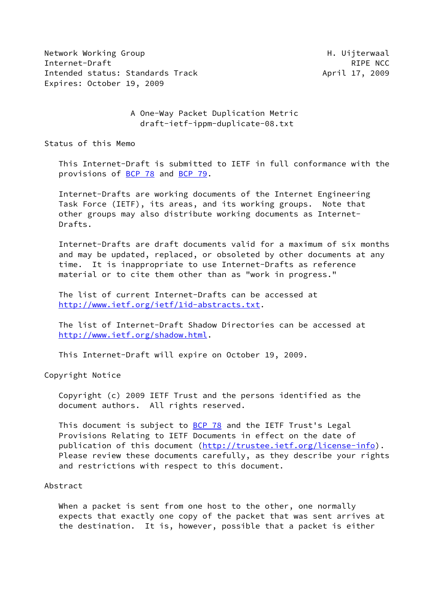Network Working Group **H. Uijterwaal** Internet-Draft RIPE NCC Intended status: Standards Track April 17, 2009 Expires: October 19, 2009

 A One-Way Packet Duplication Metric draft-ietf-ippm-duplicate-08.txt

Status of this Memo

 This Internet-Draft is submitted to IETF in full conformance with the provisions of [BCP 78](https://datatracker.ietf.org/doc/pdf/bcp78) and [BCP 79](https://datatracker.ietf.org/doc/pdf/bcp79).

 Internet-Drafts are working documents of the Internet Engineering Task Force (IETF), its areas, and its working groups. Note that other groups may also distribute working documents as Internet- Drafts.

 Internet-Drafts are draft documents valid for a maximum of six months and may be updated, replaced, or obsoleted by other documents at any time. It is inappropriate to use Internet-Drafts as reference material or to cite them other than as "work in progress."

 The list of current Internet-Drafts can be accessed at <http://www.ietf.org/ietf/1id-abstracts.txt>.

 The list of Internet-Draft Shadow Directories can be accessed at <http://www.ietf.org/shadow.html>.

This Internet-Draft will expire on October 19, 2009.

Copyright Notice

 Copyright (c) 2009 IETF Trust and the persons identified as the document authors. All rights reserved.

This document is subject to **[BCP 78](https://datatracker.ietf.org/doc/pdf/bcp78)** and the IETF Trust's Legal Provisions Relating to IETF Documents in effect on the date of publication of this document [\(http://trustee.ietf.org/license-info](http://trustee.ietf.org/license-info)). Please review these documents carefully, as they describe your rights and restrictions with respect to this document.

### Abstract

When a packet is sent from one host to the other, one normally expects that exactly one copy of the packet that was sent arrives at the destination. It is, however, possible that a packet is either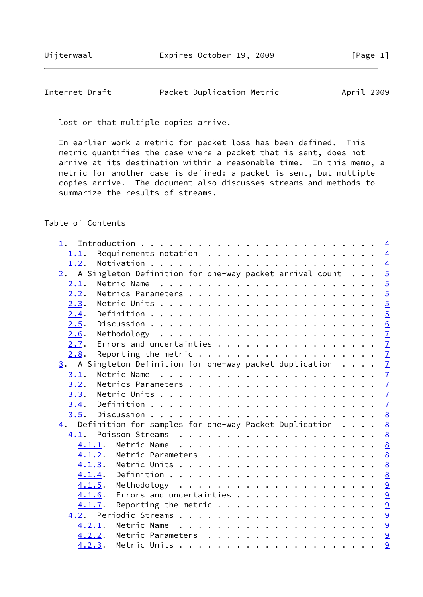# Internet-Draft Packet Duplication Metric April 2009

lost or that multiple copies arrive.

 In earlier work a metric for packet loss has been defined. This metric quantifies the case where a packet that is sent, does not arrive at its destination within a reasonable time. In this memo, a metric for another case is defined: a packet is sent, but multiple copies arrive. The document also discusses streams and methods to summarize the results of streams.

## Table of Contents

| 1.1.   | Requirements notation $\cdots$ 4                                                        |  |
|--------|-----------------------------------------------------------------------------------------|--|
| 1.2.   |                                                                                         |  |
|        | 2. A Singleton Definition for one-way packet arrival count $\cdots$ 5                   |  |
| 2.1.   |                                                                                         |  |
| 2.2.   |                                                                                         |  |
| 2.3.   |                                                                                         |  |
| 2.4.   |                                                                                         |  |
| 2.5.   |                                                                                         |  |
| 2.6.   |                                                                                         |  |
| 2.7.   | Errors and uncertainties $\frac{7}{2}$                                                  |  |
| 2.8.   | Reporting the metric $\cdots$ 7                                                         |  |
|        | $\underline{3}$ . A Singleton Definition for one-way packet duplication $\underline{7}$ |  |
| 3.1.   | Metric Name                                                                             |  |
| 3.2.   |                                                                                         |  |
|        |                                                                                         |  |
|        |                                                                                         |  |
|        |                                                                                         |  |
|        | $\underline{4}$ . Definition for samples for one-way Packet Duplication <u>8</u>        |  |
|        |                                                                                         |  |
|        |                                                                                         |  |
|        | 4.1.2. Metric Parameters 8                                                              |  |
|        |                                                                                         |  |
|        |                                                                                         |  |
|        | <u>4.1.5</u> . Methodology <u>9</u>                                                     |  |
|        | Errors and uncertainties 9<br>4.1.6.                                                    |  |
| 4.1.7. | Reporting the metric $\cdots$ 9                                                         |  |
|        |                                                                                         |  |
|        | $4.2.1$ . Metric Name                                                                   |  |
|        | <u>4.2.2</u> . Metric Parameters 9                                                      |  |
|        |                                                                                         |  |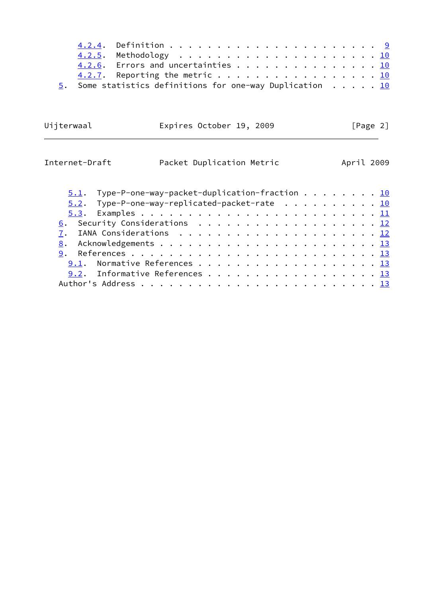|  | 4.2.6. Errors and uncertainties 10                                 |  |  |  |  |  |  |  |  |  |  |  |
|--|--------------------------------------------------------------------|--|--|--|--|--|--|--|--|--|--|--|
|  | $4.2.7$ . Reporting the metric 10                                  |  |  |  |  |  |  |  |  |  |  |  |
|  | 5. Some statistics definitions for one-way Duplication $\ldots$ 10 |  |  |  |  |  |  |  |  |  |  |  |

| Uijterwaal     | Expires October 19, 2009  | [Page 2]   |
|----------------|---------------------------|------------|
| Internet-Draft | Packet Duplication Metric | April 2009 |

| $5.1.$ Type-P-one-way-packet-duplication-fraction $\cdots$ $\cdots$ $\cdots$ $10$ |  |  |  |  |  |  |  |
|-----------------------------------------------------------------------------------|--|--|--|--|--|--|--|
| $5.2$ . Type-P-one-way-replicated-packet-rate 10                                  |  |  |  |  |  |  |  |
|                                                                                   |  |  |  |  |  |  |  |
| 6. Security Considerations 12                                                     |  |  |  |  |  |  |  |
|                                                                                   |  |  |  |  |  |  |  |
|                                                                                   |  |  |  |  |  |  |  |
|                                                                                   |  |  |  |  |  |  |  |
| 9.1. Normative References 13                                                      |  |  |  |  |  |  |  |
| 9.2. Informative References 13                                                    |  |  |  |  |  |  |  |
|                                                                                   |  |  |  |  |  |  |  |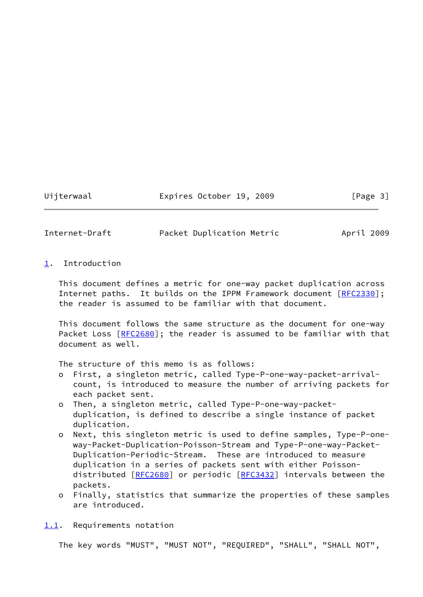Uijterwaal Expires October 19, 2009 [Page 3]

<span id="page-3-1"></span>Internet-Draft Packet Duplication Metric April 2009

<span id="page-3-0"></span>[1](#page-3-0). Introduction

 This document defines a metric for one-way packet duplication across Internet paths. It builds on the IPPM Framework document [[RFC2330](https://datatracker.ietf.org/doc/pdf/rfc2330)]; the reader is assumed to be familiar with that document.

 This document follows the same structure as the document for one-way Packet Loss [\[RFC2680](https://datatracker.ietf.org/doc/pdf/rfc2680)]; the reader is assumed to be familiar with that document as well.

The structure of this memo is as follows:

- o First, a singleton metric, called Type-P-one-way-packet-arrival count, is introduced to measure the number of arriving packets for each packet sent.
- o Then, a singleton metric, called Type-P-one-way-packet duplication, is defined to describe a single instance of packet duplication.
- o Next, this singleton metric is used to define samples, Type-P-one way-Packet-Duplication-Poisson-Stream and Type-P-one-way-Packet- Duplication-Periodic-Stream. These are introduced to measure duplication in a series of packets sent with either Poisson- distributed [\[RFC2680](https://datatracker.ietf.org/doc/pdf/rfc2680)] or periodic [\[RFC3432](https://datatracker.ietf.org/doc/pdf/rfc3432)] intervals between the packets.
- o Finally, statistics that summarize the properties of these samples are introduced.

<span id="page-3-2"></span>[1.1](#page-3-2). Requirements notation

The key words "MUST", "MUST NOT", "REQUIRED", "SHALL", "SHALL NOT",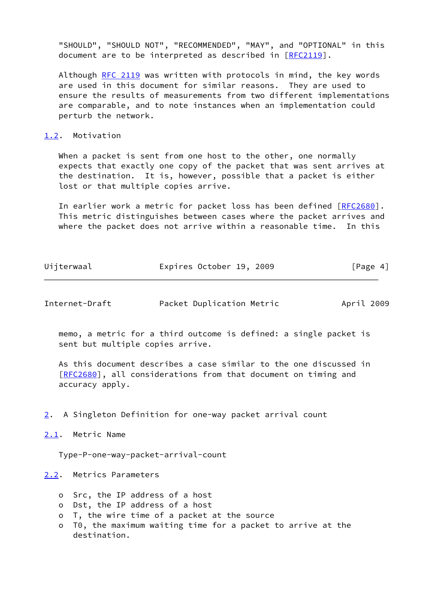"SHOULD", "SHOULD NOT", "RECOMMENDED", "MAY", and "OPTIONAL" in this document are to be interpreted as described in [\[RFC2119](https://datatracker.ietf.org/doc/pdf/rfc2119)].

Although [RFC 2119](https://datatracker.ietf.org/doc/pdf/rfc2119) was written with protocols in mind, the key words are used in this document for similar reasons. They are used to ensure the results of measurements from two different implementations are comparable, and to note instances when an implementation could perturb the network.

### <span id="page-4-0"></span>[1.2](#page-4-0). Motivation

 When a packet is sent from one host to the other, one normally expects that exactly one copy of the packet that was sent arrives at the destination. It is, however, possible that a packet is either lost or that multiple copies arrive.

 In earlier work a metric for packet loss has been defined [[RFC2680](https://datatracker.ietf.org/doc/pdf/rfc2680)]. This metric distinguishes between cases where the packet arrives and where the packet does not arrive within a reasonable time. In this

| Uijterwaal | Expires October 19, 2009 |  | [Page 4] |  |
|------------|--------------------------|--|----------|--|
|            |                          |  |          |  |

<span id="page-4-2"></span>

|  | Internet-Draft | Packet Duplication Metric |  | April 2009 |
|--|----------------|---------------------------|--|------------|
|--|----------------|---------------------------|--|------------|

 memo, a metric for a third outcome is defined: a single packet is sent but multiple copies arrive.

 As this document describes a case similar to the one discussed in [\[RFC2680](https://datatracker.ietf.org/doc/pdf/rfc2680)], all considerations from that document on timing and accuracy apply.

<span id="page-4-1"></span>[2](#page-4-1). A Singleton Definition for one-way packet arrival count

<span id="page-4-3"></span>[2.1](#page-4-3). Metric Name

Type-P-one-way-packet-arrival-count

<span id="page-4-4"></span>[2.2](#page-4-4). Metrics Parameters

- o Src, the IP address of a host
- o Dst, the IP address of a host
- o T, the wire time of a packet at the source
- o T0, the maximum waiting time for a packet to arrive at the destination.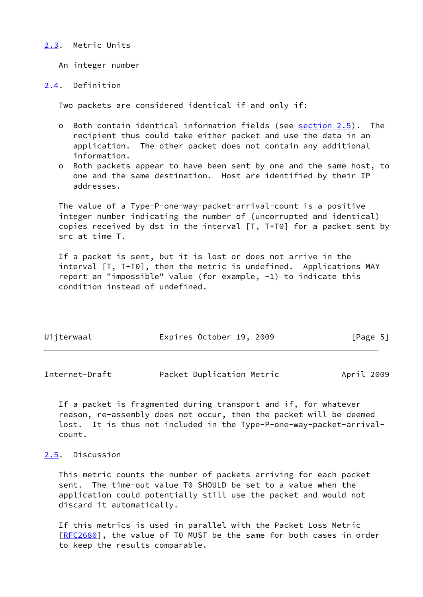#### <span id="page-5-0"></span>[2.3](#page-5-0). Metric Units

An integer number

#### <span id="page-5-1"></span>[2.4](#page-5-1). Definition

Two packets are considered identical if and only if:

- o Both contain identical information fields (see [section 2.5](#page-5-2)). The recipient thus could take either packet and use the data in an application. The other packet does not contain any additional information.
- o Both packets appear to have been sent by one and the same host, to one and the same destination. Host are identified by their IP addresses.

 The value of a Type-P-one-way-packet-arrival-count is a positive integer number indicating the number of (uncorrupted and identical) copies received by dst in the interval [T, T+T0] for a packet sent by src at time T.

 If a packet is sent, but it is lost or does not arrive in the interval [T, T+T0], then the metric is undefined. Applications MAY report an "impossible" value (for example, -1) to indicate this condition instead of undefined.

| Uijterwaal | Expires October 19, 2009 |  | [Page 5] |  |
|------------|--------------------------|--|----------|--|
|            |                          |  |          |  |

<span id="page-5-3"></span>

| Internet-Draft |  | Packet Duplication Metric |  | April 2009 |  |
|----------------|--|---------------------------|--|------------|--|
|----------------|--|---------------------------|--|------------|--|

 If a packet is fragmented during transport and if, for whatever reason, re-assembly does not occur, then the packet will be deemed lost. It is thus not included in the Type-P-one-way-packet-arrival count.

## <span id="page-5-2"></span>[2.5](#page-5-2). Discussion

 This metric counts the number of packets arriving for each packet sent. The time-out value T0 SHOULD be set to a value when the application could potentially still use the packet and would not discard it automatically.

 If this metrics is used in parallel with the Packet Loss Metric [\[RFC2680](https://datatracker.ietf.org/doc/pdf/rfc2680)], the value of T0 MUST be the same for both cases in order to keep the results comparable.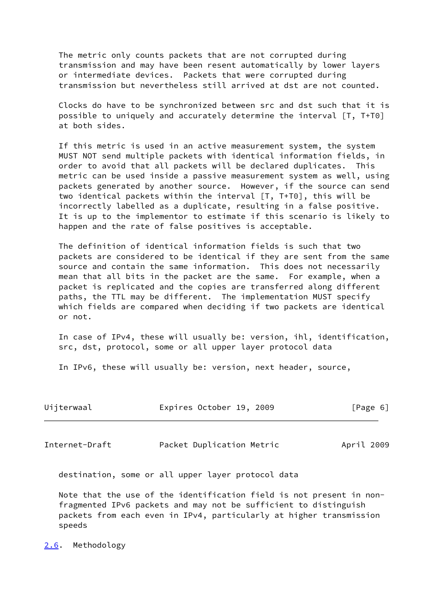The metric only counts packets that are not corrupted during transmission and may have been resent automatically by lower layers or intermediate devices. Packets that were corrupted during transmission but nevertheless still arrived at dst are not counted.

 Clocks do have to be synchronized between src and dst such that it is possible to uniquely and accurately determine the interval [T, T+T0] at both sides.

 If this metric is used in an active measurement system, the system MUST NOT send multiple packets with identical information fields, in order to avoid that all packets will be declared duplicates. This metric can be used inside a passive measurement system as well, using packets generated by another source. However, if the source can send two identical packets within the interval [T, T+T0], this will be incorrectly labelled as a duplicate, resulting in a false positive. It is up to the implementor to estimate if this scenario is likely to happen and the rate of false positives is acceptable.

 The definition of identical information fields is such that two packets are considered to be identical if they are sent from the same source and contain the same information. This does not necessarily mean that all bits in the packet are the same. For example, when a packet is replicated and the copies are transferred along different paths, the TTL may be different. The implementation MUST specify which fields are compared when deciding if two packets are identical or not.

 In case of IPv4, these will usually be: version, ihl, identification, src, dst, protocol, some or all upper layer protocol data

In IPv6, these will usually be: version, next header, source,

<span id="page-6-1"></span>

| Uijterwaal     | Expires October 19, 2009  | [Page 6]   |
|----------------|---------------------------|------------|
| Internet-Draft | Packet Duplication Metric | April 2009 |

destination, some or all upper layer protocol data

 Note that the use of the identification field is not present in non fragmented IPv6 packets and may not be sufficient to distinguish packets from each even in IPv4, particularly at higher transmission speeds

<span id="page-6-0"></span>[2.6](#page-6-0). Methodology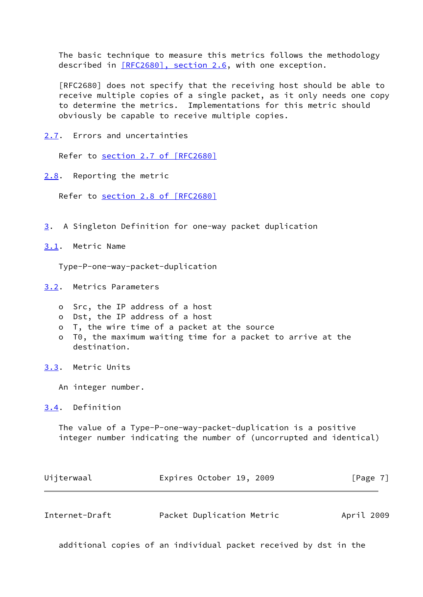The basic technique to measure this metrics follows the methodology described in [\[RFC2680\], section](https://datatracker.ietf.org/doc/pdf/rfc2680#section-2.6) 2.6, with one exception.

 [RFC2680] does not specify that the receiving host should be able to receive multiple copies of a single packet, as it only needs one copy to determine the metrics. Implementations for this metric should obviously be capable to receive multiple copies.

<span id="page-7-0"></span>[2.7](#page-7-0). Errors and uncertainties

Refer to section [2.7 of \[RFC2680\]](https://datatracker.ietf.org/doc/pdf/rfc2680#section-2.7)

<span id="page-7-1"></span>[2.8](#page-7-1). Reporting the metric

Refer to section [2.8 of \[RFC2680\]](https://datatracker.ietf.org/doc/pdf/rfc2680#section-2.8)

- <span id="page-7-2"></span>[3](#page-7-2). A Singleton Definition for one-way packet duplication
- <span id="page-7-3"></span>[3.1](#page-7-3). Metric Name

Type-P-one-way-packet-duplication

- <span id="page-7-4"></span>[3.2](#page-7-4). Metrics Parameters
	- o Src, the IP address of a host
	- o Dst, the IP address of a host
	- o T, the wire time of a packet at the source
	- o T0, the maximum waiting time for a packet to arrive at the destination.
- <span id="page-7-5"></span>[3.3](#page-7-5). Metric Units

An integer number.

<span id="page-7-6"></span>[3.4](#page-7-6). Definition

 The value of a Type-P-one-way-packet-duplication is a positive integer number indicating the number of (uncorrupted and identical)

<span id="page-7-7"></span>

| Uijterwaal     | Expires October 19, 2009  | [Page 7]   |
|----------------|---------------------------|------------|
|                |                           |            |
| Internet-Draft | Packet Duplication Metric | April 2009 |

additional copies of an individual packet received by dst in the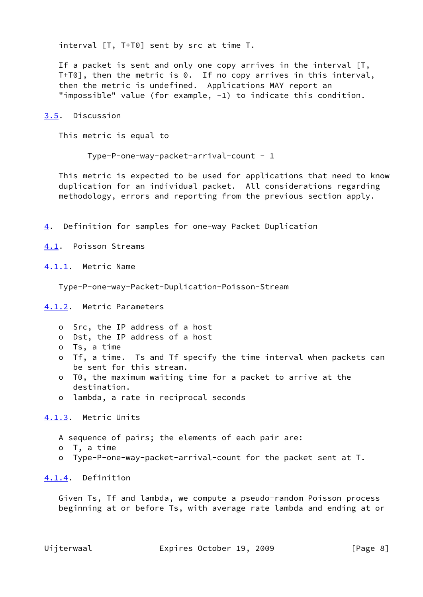interval [T, T+T0] sent by src at time T.

If a packet is sent and only one copy arrives in the interval [T, T+T0], then the metric is 0. If no copy arrives in this interval, then the metric is undefined. Applications MAY report an "impossible" value (for example, -1) to indicate this condition.

<span id="page-8-0"></span>[3.5](#page-8-0). Discussion

This metric is equal to

Type-P-one-way-packet-arrival-count - 1

 This metric is expected to be used for applications that need to know duplication for an individual packet. All considerations regarding methodology, errors and reporting from the previous section apply.

<span id="page-8-1"></span>[4](#page-8-1). Definition for samples for one-way Packet Duplication

<span id="page-8-2"></span>[4.1](#page-8-2). Poisson Streams

<span id="page-8-3"></span>[4.1.1](#page-8-3). Metric Name

Type-P-one-way-Packet-Duplication-Poisson-Stream

<span id="page-8-4"></span>[4.1.2](#page-8-4). Metric Parameters

- o Src, the IP address of a host
- o Dst, the IP address of a host
- o Ts, a time
- o Tf, a time. Ts and Tf specify the time interval when packets can be sent for this stream.
- o T0, the maximum waiting time for a packet to arrive at the destination.
- o lambda, a rate in reciprocal seconds

<span id="page-8-5"></span>[4.1.3](#page-8-5). Metric Units

- A sequence of pairs; the elements of each pair are:
- o T, a time
- o Type-P-one-way-packet-arrival-count for the packet sent at T.

<span id="page-8-6"></span>[4.1.4](#page-8-6). Definition

 Given Ts, Tf and lambda, we compute a pseudo-random Poisson process beginning at or before Ts, with average rate lambda and ending at or

Uijterwaal Expires October 19, 2009 [Page 8]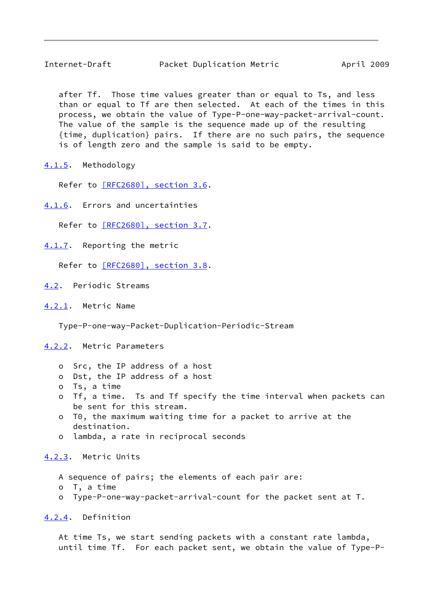<span id="page-9-1"></span> after Tf. Those time values greater than or equal to Ts, and less than or equal to Tf are then selected. At each of the times in this process, we obtain the value of Type-P-one-way-packet-arrival-count. The value of the sample is the sequence made up of the resulting {time, duplication} pairs. If there are no such pairs, the sequence is of length zero and the sample is said to be empty.

<span id="page-9-0"></span>[4.1.5](#page-9-0). Methodology

Refer to [\[RFC2680\], section](https://datatracker.ietf.org/doc/pdf/rfc2680#section-3.6) 3.6.

<span id="page-9-2"></span>[4.1.6](#page-9-2). Errors and uncertainties

Refer to [\[RFC2680\], section](https://datatracker.ietf.org/doc/pdf/rfc2680#section-3.7) 3.7.

<span id="page-9-3"></span>[4.1.7](#page-9-3). Reporting the metric

Refer to [\[RFC2680\], section](https://datatracker.ietf.org/doc/pdf/rfc2680#section-3.8) 3.8.

- <span id="page-9-4"></span>[4.2](#page-9-4). Periodic Streams
- <span id="page-9-5"></span>[4.2.1](#page-9-5). Metric Name

Type-P-one-way-Packet-Duplication-Periodic-Stream

<span id="page-9-6"></span>[4.2.2](#page-9-6). Metric Parameters

- o Src, the IP address of a host
- o Dst, the IP address of a host
- o Ts, a time
- o Tf, a time. Ts and Tf specify the time interval when packets can be sent for this stream.
- o T0, the maximum waiting time for a packet to arrive at the destination.
- o lambda, a rate in reciprocal seconds

<span id="page-9-7"></span>[4.2.3](#page-9-7). Metric Units

A sequence of pairs; the elements of each pair are:

- o T, a time
- o Type-P-one-way-packet-arrival-count for the packet sent at T.

<span id="page-9-8"></span>[4.2.4](#page-9-8). Definition

 At time Ts, we start sending packets with a constant rate lambda, until time Tf. For each packet sent, we obtain the value of Type-P-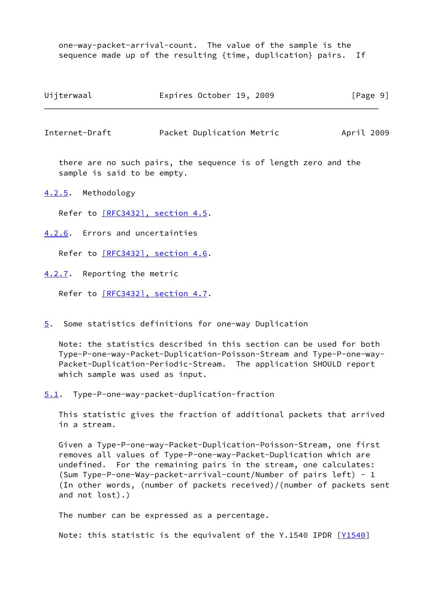one-way-packet-arrival-count. The value of the sample is the sequence made up of the resulting {time, duplication} pairs. If

| Uijterwaal | Expires October 19, 2009 | [Page 9] |
|------------|--------------------------|----------|
|------------|--------------------------|----------|

<span id="page-10-1"></span>Internet-Draft Packet Duplication Metric April 2009

 there are no such pairs, the sequence is of length zero and the sample is said to be empty.

<span id="page-10-0"></span>[4.2.5](#page-10-0). Methodology

Refer to [\[RFC3432\], section](https://datatracker.ietf.org/doc/pdf/rfc3432#section-4.5) 4.5.

<span id="page-10-2"></span>[4.2.6](#page-10-2). Errors and uncertainties

Refer to [\[RFC3432\], section](https://datatracker.ietf.org/doc/pdf/rfc3432#section-4.6) 4.6.

<span id="page-10-3"></span>[4.2.7](#page-10-3). Reporting the metric

Refer to [\[RFC3432\], section](https://datatracker.ietf.org/doc/pdf/rfc3432#section-4.7) 4.7.

<span id="page-10-4"></span>[5](#page-10-4). Some statistics definitions for one-way Duplication

 Note: the statistics described in this section can be used for both Type-P-one-way-Packet-Duplication-Poisson-Stream and Type-P-one-way- Packet-Duplication-Periodic-Stream. The application SHOULD report which sample was used as input.

<span id="page-10-5"></span>[5.1](#page-10-5). Type-P-one-way-packet-duplication-fraction

 This statistic gives the fraction of additional packets that arrived in a stream.

 Given a Type-P-one-way-Packet-Duplication-Poisson-Stream, one first removes all values of Type-P-one-way-Packet-Duplication which are undefined. For the remaining pairs in the stream, one calculates: (Sum Type-P-one-Way-packet-arrival-count/Number of pairs left) - 1 (In other words, (number of packets received)/(number of packets sent and not lost).)

The number can be expressed as a percentage.

Note: this statistic is the equivalent of the Y.1540 IPDR [[Y1540\]](#page-14-1)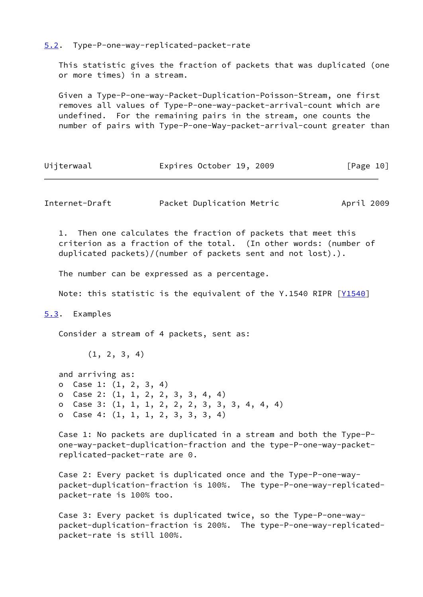<span id="page-11-0"></span>[5.2](#page-11-0). Type-P-one-way-replicated-packet-rate

 This statistic gives the fraction of packets that was duplicated (one or more times) in a stream.

 Given a Type-P-one-way-Packet-Duplication-Poisson-Stream, one first removes all values of Type-P-one-way-packet-arrival-count which are undefined. For the remaining pairs in the stream, one counts the number of pairs with Type-P-one-Way-packet-arrival-count greater than

| Uijterwaal | Expires October 19, 2009 | [Page 10] |
|------------|--------------------------|-----------|
|------------|--------------------------|-----------|

<span id="page-11-2"></span>Internet-Draft Packet Duplication Metric April 2009

 1. Then one calculates the fraction of packets that meet this criterion as a fraction of the total. (In other words: (number of duplicated packets)/(number of packets sent and not lost).).

The number can be expressed as a percentage.

Note: this statistic is the equivalent of the Y.1540 RIPR  $\lceil \frac{Y1540}{Y1540} \rceil$ 

<span id="page-11-1"></span>[5.3](#page-11-1). Examples

Consider a stream of 4 packets, sent as:

(1, 2, 3, 4)

 and arriving as: o Case 1: (1, 2, 3, 4) o Case 2: (1, 1, 2, 2, 3, 3, 4, 4) o Case 3: (1, 1, 1, 2, 2, 2, 3, 3, 3, 4, 4, 4) o Case 4: (1, 1, 1, 2, 3, 3, 3, 4)

 Case 1: No packets are duplicated in a stream and both the Type-P one-way-packet-duplication-fraction and the type-P-one-way-packet replicated-packet-rate are 0.

 Case 2: Every packet is duplicated once and the Type-P-one-way packet-duplication-fraction is 100%. The type-P-one-way-replicated packet-rate is 100% too.

 Case 3: Every packet is duplicated twice, so the Type-P-one-way packet-duplication-fraction is 200%. The type-P-one-way-replicated packet-rate is still 100%.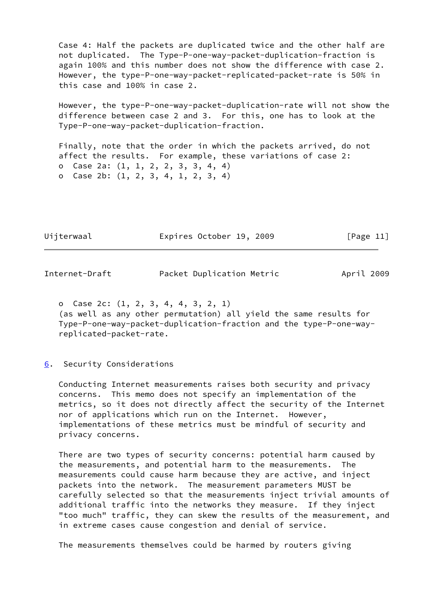Case 4: Half the packets are duplicated twice and the other half are not duplicated. The Type-P-one-way-packet-duplication-fraction is again 100% and this number does not show the difference with case 2. However, the type-P-one-way-packet-replicated-packet-rate is 50% in this case and 100% in case 2.

 However, the type-P-one-way-packet-duplication-rate will not show the difference between case 2 and 3. For this, one has to look at the Type-P-one-way-packet-duplication-fraction.

 Finally, note that the order in which the packets arrived, do not affect the results. For example, these variations of case 2: o Case 2a: (1, 1, 2, 2, 3, 3, 4, 4) o Case 2b: (1, 2, 3, 4, 1, 2, 3, 4)

Uijterwaal Expires October 19, 2009 [Page 11]

<span id="page-12-1"></span>Internet-Draft Packet Duplication Metric April 2009

 o Case 2c: (1, 2, 3, 4, 4, 3, 2, 1) (as well as any other permutation) all yield the same results for Type-P-one-way-packet-duplication-fraction and the type-P-one-way replicated-packet-rate.

# <span id="page-12-0"></span>[6](#page-12-0). Security Considerations

 Conducting Internet measurements raises both security and privacy concerns. This memo does not specify an implementation of the metrics, so it does not directly affect the security of the Internet nor of applications which run on the Internet. However, implementations of these metrics must be mindful of security and privacy concerns.

 There are two types of security concerns: potential harm caused by the measurements, and potential harm to the measurements. The measurements could cause harm because they are active, and inject packets into the network. The measurement parameters MUST be carefully selected so that the measurements inject trivial amounts of additional traffic into the networks they measure. If they inject "too much" traffic, they can skew the results of the measurement, and in extreme cases cause congestion and denial of service.

The measurements themselves could be harmed by routers giving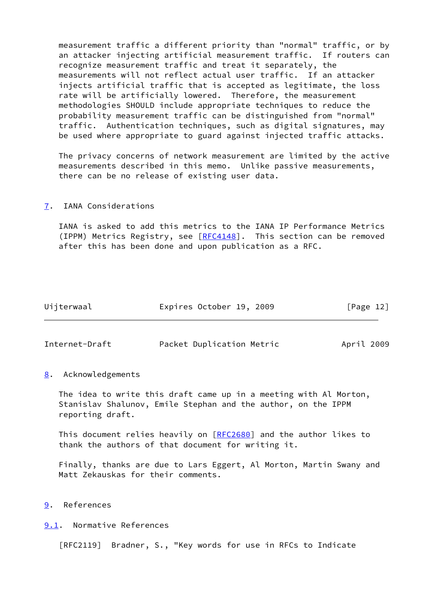measurement traffic a different priority than "normal" traffic, or by an attacker injecting artificial measurement traffic. If routers can recognize measurement traffic and treat it separately, the measurements will not reflect actual user traffic. If an attacker injects artificial traffic that is accepted as legitimate, the loss rate will be artificially lowered. Therefore, the measurement methodologies SHOULD include appropriate techniques to reduce the probability measurement traffic can be distinguished from "normal" traffic. Authentication techniques, such as digital signatures, may be used where appropriate to guard against injected traffic attacks.

 The privacy concerns of network measurement are limited by the active measurements described in this memo. Unlike passive measurements, there can be no release of existing user data.

#### <span id="page-13-0"></span>[7](#page-13-0). IANA Considerations

 IANA is asked to add this metrics to the IANA IP Performance Metrics (IPPM) Metrics Registry, see [\[RFC4148](https://datatracker.ietf.org/doc/pdf/rfc4148)]. This section can be removed after this has been done and upon publication as a RFC.

| Uijterwaal | Expires October 19, 2009 |  | [Page 12] |  |
|------------|--------------------------|--|-----------|--|
|            |                          |  |           |  |

<span id="page-13-2"></span>Internet-Draft Packet Duplication Metric April 2009

<span id="page-13-1"></span>[8](#page-13-1). Acknowledgements

 The idea to write this draft came up in a meeting with Al Morton, Stanislav Shalunov, Emile Stephan and the author, on the IPPM reporting draft.

This document relies heavily on [\[RFC2680](https://datatracker.ietf.org/doc/pdf/rfc2680)] and the author likes to thank the authors of that document for writing it.

 Finally, thanks are due to Lars Eggert, Al Morton, Martin Swany and Matt Zekauskas for their comments.

<span id="page-13-3"></span>[9](#page-13-3). References

<span id="page-13-4"></span>[9.1](#page-13-4). Normative References

[RFC2119] Bradner, S., "Key words for use in RFCs to Indicate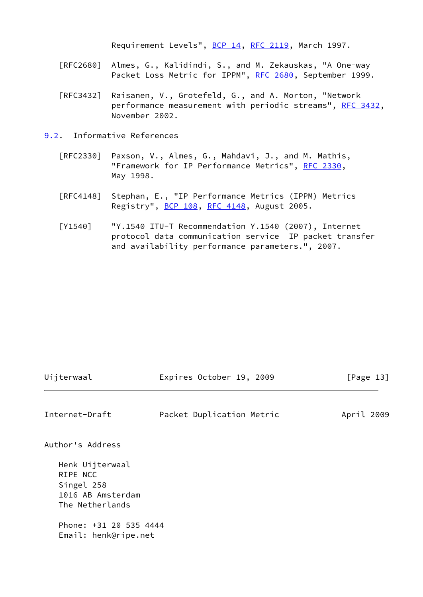Requirement Levels", [BCP 14](https://datatracker.ietf.org/doc/pdf/bcp14), [RFC 2119](https://datatracker.ietf.org/doc/pdf/rfc2119), March 1997.

- [RFC2680] Almes, G., Kalidindi, S., and M. Zekauskas, "A One-way Packet Loss Metric for IPPM", [RFC 2680](https://datatracker.ietf.org/doc/pdf/rfc2680), September 1999.
- [RFC3432] Raisanen, V., Grotefeld, G., and A. Morton, "Network performance measurement with periodic streams", [RFC 3432,](https://datatracker.ietf.org/doc/pdf/rfc3432) November 2002.
- <span id="page-14-1"></span><span id="page-14-0"></span>[9.2](#page-14-0). Informative References
	- [RFC2330] Paxson, V., Almes, G., Mahdavi, J., and M. Mathis, "Framework for IP Performance Metrics", [RFC 2330,](https://datatracker.ietf.org/doc/pdf/rfc2330) May 1998.
	- [RFC4148] Stephan, E., "IP Performance Metrics (IPPM) Metrics Registry", [BCP 108](https://datatracker.ietf.org/doc/pdf/bcp108), [RFC 4148,](https://datatracker.ietf.org/doc/pdf/rfc4148) August 2005.
	- [Y1540] "Y.1540 ITU-T Recommendation Y.1540 (2007), Internet protocol data communication service IP packet transfer and availability performance parameters.", 2007.

| Uijterwaal                                                                                                                          | Expires October 19, 2009  | [Page 13]  |
|-------------------------------------------------------------------------------------------------------------------------------------|---------------------------|------------|
| Internet-Draft                                                                                                                      | Packet Duplication Metric | April 2009 |
| Author's Address                                                                                                                    |                           |            |
| Henk Uijterwaal<br>RIPE NCC<br>Singel 258<br>1016 AB Amsterdam<br>The Netherlands<br>Phone: +31 20 535 4444<br>Email: henk@ripe.net |                           |            |